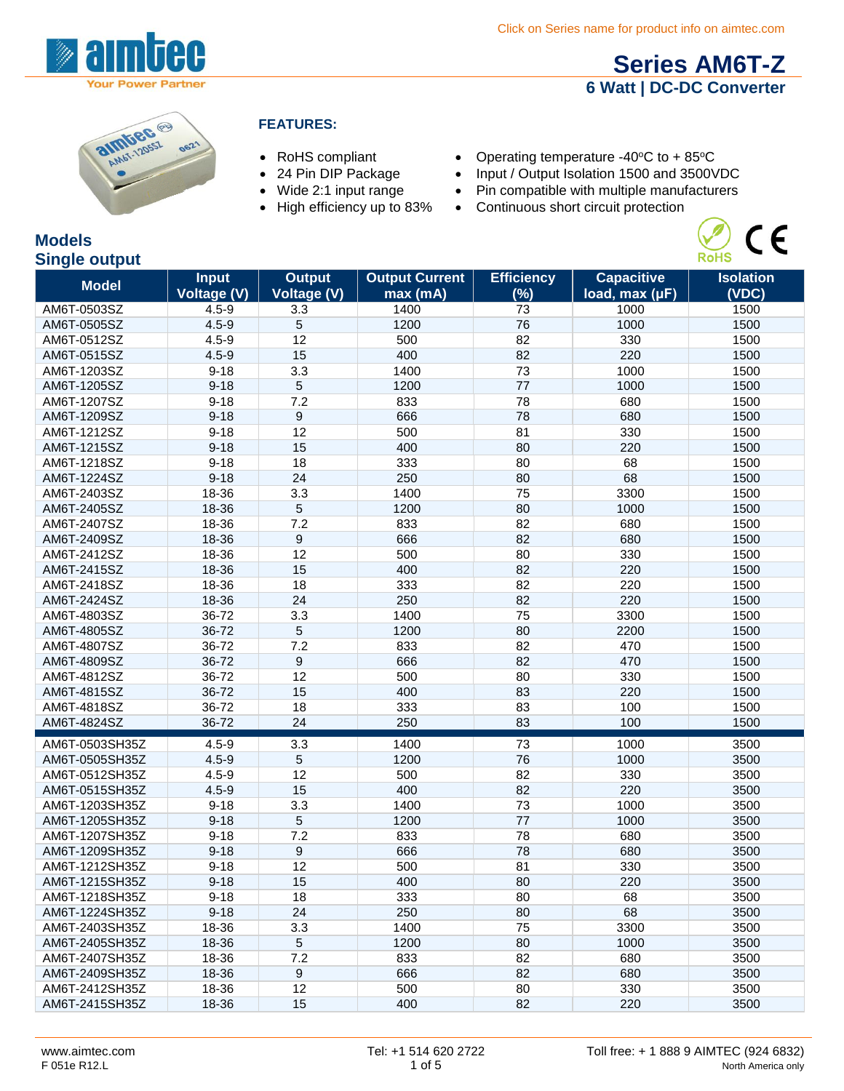

# **[Series AM6T-Z](http://www.aimtec.com/am6t-z) 6 Watt | DC-DC Converter**

 $\epsilon$ 

**RoHS** 



#### **FEATURES:**

- 
- 
- 
- 
- RoHS compliant Operating temperature -40°C to + 85°C<br>• 24 Pin DIP Package Input / Output Isolation 1500 and 3500V
- 24 Pin DIP Package Input / Output Isolation 1500 and 3500VDC<br>• Wide 2:1 input range Pin compatible with multiple manufacturers
- Wide 2:1 input range Pin compatible with multiple manufacturers<br>• High efficiency up to 83% Continuous short circuit protection
	- $\bullet$  Continuous short circuit protection

#### **Models Single output**

| g. -<br><b>Model</b> | <b>Input</b><br><b>Voltage (V)</b> | <b>Output</b><br><b>Voltage (V)</b> | <b>Output Current</b><br>max (mA) | <b>Efficiency</b><br>(%) | <b>Capacitive</b><br>load, max (µF) | <b>Isolation</b><br>(VDC) |
|----------------------|------------------------------------|-------------------------------------|-----------------------------------|--------------------------|-------------------------------------|---------------------------|
| AM6T-0503SZ          | $4.5 - 9$                          | 3.3                                 | 1400                              | 73                       | 1000                                | 1500                      |
| AM6T-0505SZ          | $4.5 - 9$                          | 5                                   | 1200                              | 76                       | 1000                                | 1500                      |
| AM6T-0512SZ          | $4.5 - 9$                          | 12                                  | 500                               | 82                       | 330                                 | 1500                      |
| AM6T-0515SZ          | $4.5 - 9$                          | 15                                  | 400                               | 82                       | 220                                 | 1500                      |
| AM6T-1203SZ          | $9 - 18$                           | 3.3                                 | 1400                              | 73                       | 1000                                | 1500                      |
| AM6T-1205SZ          | $9 - 18$                           | 5                                   | 1200                              | 77                       | 1000                                | 1500                      |
| AM6T-1207SZ          | $9 - 18$                           | 7.2                                 | 833                               | 78                       | 680                                 | 1500                      |
| AM6T-1209SZ          | $9 - 18$                           | 9                                   | 666                               | 78                       | 680                                 | 1500                      |
| AM6T-1212SZ          | $9 - 18$                           | 12                                  | 500                               | 81                       | 330                                 | 1500                      |
| AM6T-1215SZ          | $9 - 18$                           | 15                                  | 400                               | 80                       | 220                                 | 1500                      |
| AM6T-1218SZ          | $9 - 18$                           | 18                                  | 333                               | 80                       | 68                                  | 1500                      |
| AM6T-1224SZ          | $9 - 18$                           | 24                                  | 250                               | 80                       | 68                                  | 1500                      |
| AM6T-2403SZ          | 18-36                              | 3.3                                 | 1400                              | 75                       | 3300                                | 1500                      |
| AM6T-2405SZ          | 18-36                              | 5                                   | 1200                              | 80                       | 1000                                | 1500                      |
| AM6T-2407SZ          | 18-36                              | 7.2                                 | 833                               | 82                       | 680                                 | 1500                      |
| AM6T-2409SZ          | 18-36                              | 9                                   | 666                               | 82                       | 680                                 | 1500                      |
| AM6T-2412SZ          | 18-36                              | 12                                  | 500                               | 80                       | 330                                 | 1500                      |
| AM6T-2415SZ          | 18-36                              | 15                                  | 400                               | 82                       | 220                                 | 1500                      |
| AM6T-2418SZ          | 18-36                              | 18                                  | 333                               | 82                       | 220                                 | 1500                      |
| AM6T-2424SZ          | 18-36                              | 24                                  | 250                               | 82                       | 220                                 | 1500                      |
| AM6T-4803SZ          | 36-72                              | 3.3                                 | 1400                              | 75                       | 3300                                | 1500                      |
| AM6T-4805SZ          | 36-72                              | 5                                   | 1200                              | 80                       | 2200                                | 1500                      |
| AM6T-4807SZ          | 36-72                              | 7.2                                 | 833                               | 82                       | 470                                 | 1500                      |
| AM6T-4809SZ          | 36-72                              | 9                                   | 666                               | 82                       | 470                                 | 1500                      |
| AM6T-4812SZ          | 36-72                              | 12                                  | 500                               | 80                       | 330                                 | 1500                      |
| AM6T-4815SZ          | 36-72                              | 15                                  | 400                               | 83                       | 220                                 | 1500                      |
| AM6T-4818SZ          | 36-72                              | 18                                  | 333                               | 83                       | 100                                 | 1500                      |
| AM6T-4824SZ          | 36-72                              | 24                                  | 250                               | 83                       | 100                                 | 1500                      |
| AM6T-0503SH35Z       | $4.5 - 9$                          | 3.3                                 | 1400                              | 73                       | 1000                                | 3500                      |
| AM6T-0505SH35Z       | $4.5 - 9$                          | 5                                   | 1200                              | 76                       | 1000                                | 3500                      |
| AM6T-0512SH35Z       | $4.5 - 9$                          | 12                                  | 500                               | 82                       | 330                                 | 3500                      |
| AM6T-0515SH35Z       | $4.5 - 9$                          | 15                                  | 400                               | 82                       | 220                                 | 3500                      |
| AM6T-1203SH35Z       | $9 - 18$                           | 3.3                                 | 1400                              | 73                       | 1000                                | 3500                      |
| AM6T-1205SH35Z       | $9 - 18$                           | 5                                   | 1200                              | 77                       | 1000                                | 3500                      |
| AM6T-1207SH35Z       | $9 - 18$                           | 7.2                                 | 833                               | 78                       | 680                                 | 3500                      |
| AM6T-1209SH35Z       | $9 - 18$                           | 9                                   | 666                               | 78                       | 680                                 | 3500                      |
| AM6T-1212SH35Z       | $9 - 18$                           | 12                                  | 500                               | 81                       | 330                                 | 3500                      |
| AM6T-1215SH35Z       | $9 - 18$                           | 15                                  | 400                               | 80                       | 220                                 | 3500                      |
| AM6T-1218SH35Z       | 9-18                               | 18                                  | 333                               | 80                       | 68                                  | 3500                      |
| AM6T-1224SH35Z       | $9 - 18$                           | 24                                  | 250                               | 80                       | 68                                  | 3500                      |
| AM6T-2403SH35Z       | 18-36                              | 3.3                                 | 1400                              | 75                       | 3300                                | 3500                      |
| AM6T-2405SH35Z       | 18-36                              | 5                                   | 1200                              | 80                       | 1000                                | 3500                      |
| AM6T-2407SH35Z       | 18-36                              | 7.2                                 | 833                               | 82                       | 680                                 | 3500                      |
| AM6T-2409SH35Z       | 18-36                              | 9                                   | 666                               | 82                       | 680                                 | 3500                      |
| AM6T-2412SH35Z       | 18-36                              | 12                                  | 500                               | 80                       | 330                                 | 3500                      |
| AM6T-2415SH35Z       | 18-36                              | 15                                  | 400                               | 82                       | 220                                 | 3500                      |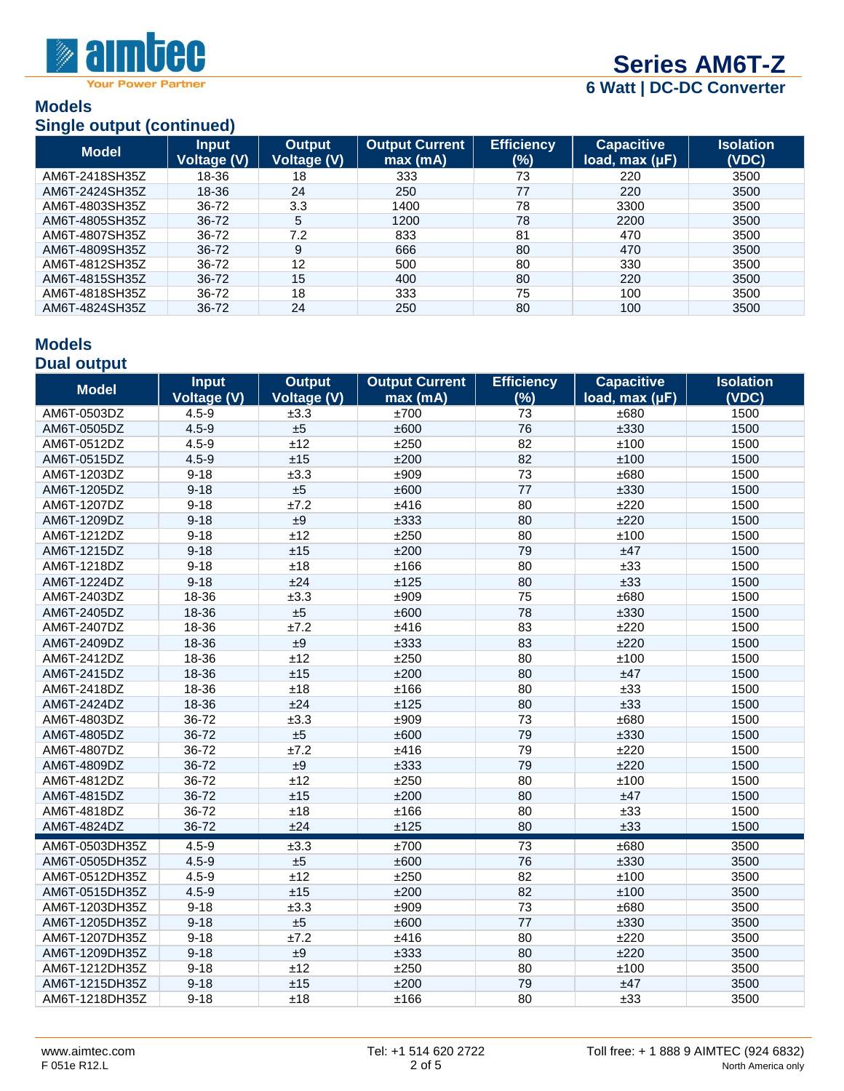

**Your Power Partner** 

#### **Models Single output (continued)**

| $\sum$         |                             |                              |                                  |                          |                                       |                           |
|----------------|-----------------------------|------------------------------|----------------------------------|--------------------------|---------------------------------------|---------------------------|
| <b>Model</b>   | <b>Input</b><br>Voltage (V) | <b>Output</b><br>Voltage (V) | <b>Output Current</b><br>max(mA) | <b>Efficiency</b><br>(%) | <b>Capacitive</b><br>load, $max (µF)$ | <b>Isolation</b><br>(VDC) |
| AM6T-2418SH35Z | 18-36                       | 18                           | 333                              | 73                       | 220                                   | 3500                      |
| AM6T-2424SH35Z | 18-36                       | 24                           | 250                              | 77                       | 220                                   | 3500                      |
| AM6T-4803SH35Z | 36-72                       | 3.3                          | 1400                             | 78                       | 3300                                  | 3500                      |
| AM6T-4805SH35Z | 36-72                       | 5                            | 1200                             | 78                       | 2200                                  | 3500                      |
| AM6T-4807SH35Z | 36-72                       | 7.2                          | 833                              | 81                       | 470                                   | 3500                      |
| AM6T-4809SH35Z | 36-72                       | 9                            | 666                              | 80                       | 470                                   | 3500                      |
| AM6T-4812SH35Z | 36-72                       | 12                           | 500                              | 80                       | 330                                   | 3500                      |
| AM6T-4815SH35Z | 36-72                       | 15                           | 400                              | 80                       | 220                                   | 3500                      |
| AM6T-4818SH35Z | 36-72                       | 18                           | 333                              | 75                       | 100                                   | 3500                      |
| AM6T-4824SH35Z | 36-72                       | 24                           | 250                              | 80                       | 100                                   | 3500                      |

#### **Models Dual output**

| <b>Model</b>   | <b>Input</b>       | <b>Output</b>      | <b>Output Current</b> | <b>Efficiency</b> | <b>Capacitive</b> | <b>Isolation</b> |
|----------------|--------------------|--------------------|-----------------------|-------------------|-------------------|------------------|
|                | <b>Voltage (V)</b> | <b>Voltage (V)</b> | max (mA)              | (%)               | load, max (µF)    | (VDC)            |
| AM6T-0503DZ    | $4.5 - 9$          | ±3.3               | ±700                  | 73                | ±680              | 1500             |
| AM6T-0505DZ    | $4.5 - 9$          | ±5                 | ±600                  | 76                | ±330              | 1500             |
| AM6T-0512DZ    | $4.5 - 9$          | ±12                | ±250                  | 82                | ±100              | 1500             |
| AM6T-0515DZ    | $4.5 - 9$          | ±15                | ±200                  | 82                | ±100              | 1500             |
| AM6T-1203DZ    | $9 - 18$           | ±3.3               | ±909                  | 73                | ±680              | 1500             |
| AM6T-1205DZ    | $9 - 18$           | ±5                 | ±600                  | 77                | ±330              | 1500             |
| AM6T-1207DZ    | $9 - 18$           | ±7.2               | ±416                  | 80                | ±220              | 1500             |
| AM6T-1209DZ    | $9 - 18$           | $\pm 9$            | ±333                  | 80                | ±220              | 1500             |
| AM6T-1212DZ    | $9 - 18$           | ±12                | ±250                  | 80                | ±100              | 1500             |
| AM6T-1215DZ    | $9 - 18$           | ±15                | ±200                  | 79                | ±47               | 1500             |
| AM6T-1218DZ    | $9 - 18$           | ±18                | ±166                  | 80                | ±33               | 1500             |
| AM6T-1224DZ    | $9 - 18$           | ±24                | ±125                  | 80                | ±33               | 1500             |
| AM6T-2403DZ    | 18-36              | ±3.3               | ±909                  | 75                | ±680              | 1500             |
| AM6T-2405DZ    | 18-36              | ±5                 | ±600                  | 78                | ±330              | 1500             |
| AM6T-2407DZ    | 18-36              | ±7.2               | ±416                  | 83                | ±220              | 1500             |
| AM6T-2409DZ    | 18-36              | ±9                 | ±333                  | 83                | ±220              | 1500             |
| AM6T-2412DZ    | 18-36              | ±12                | ±250                  | 80                | ±100              | 1500             |
| AM6T-2415DZ    | 18-36              | ±15                | ±200                  | 80                | ±47               | 1500             |
| AM6T-2418DZ    | 18-36              | ±18                | ±166                  | 80                | ±33               | 1500             |
| AM6T-2424DZ    | 18-36              | ±24                | ±125                  | 80                | ±33               | 1500             |
| AM6T-4803DZ    | 36-72              | ±3.3               | ±909                  | 73                | ±680              | 1500             |
| AM6T-4805DZ    | 36-72              | ±5                 | ±600                  | 79                | ±330              | 1500             |
| AM6T-4807DZ    | 36-72              | ±7.2               | ±416                  | 79                | ±220              | 1500             |
| AM6T-4809DZ    | 36-72              | ±9                 | ±333                  | 79                | ±220              | 1500             |
| AM6T-4812DZ    | 36-72              | ±12                | ±250                  | 80                | ±100              | 1500             |
| AM6T-4815DZ    | 36-72              | ±15                | ±200                  | 80                | ±47               | 1500             |
| AM6T-4818DZ    | 36-72              | ±18                | ±166                  | 80                | ±33               | 1500             |
| AM6T-4824DZ    | 36-72              | ±24                | ±125                  | 80                | ±33               | 1500             |
| AM6T-0503DH35Z | $4.5 - 9$          | ±3.3               | ±700                  | 73                | ±680              | 3500             |
| AM6T-0505DH35Z | $4.5 - 9$          | ±5                 | ±600                  | 76                | ±330              | 3500             |
| AM6T-0512DH35Z | $4.5 - 9$          | ±12                | ±250                  | 82                | ±100              | 3500             |
| AM6T-0515DH35Z | $4.5 - 9$          | ±15                | ±200                  | 82                | ±100              | 3500             |
| AM6T-1203DH35Z | $9 - 18$           | ±3.3               | ±909                  | 73                | ±680              | 3500             |
| AM6T-1205DH35Z | $9 - 18$           | ±5                 | ±600                  | 77                | ±330              | 3500             |
| AM6T-1207DH35Z | $9 - 18$           | ±7.2               | ±416                  | 80                | ±220              | 3500             |
| AM6T-1209DH35Z | $9 - 18$           | ±9                 | ±333                  | 80                | ±220              | 3500             |
| AM6T-1212DH35Z | $9 - 18$           | ±12                | ±250                  | 80                | ±100              | 3500             |
| AM6T-1215DH35Z | $9 - 18$           | ±15                | ±200                  | 79                | ±47               | 3500             |
| AM6T-1218DH35Z | $9 - 18$           | ±18                | ±166                  | 80                | ±33               | 3500             |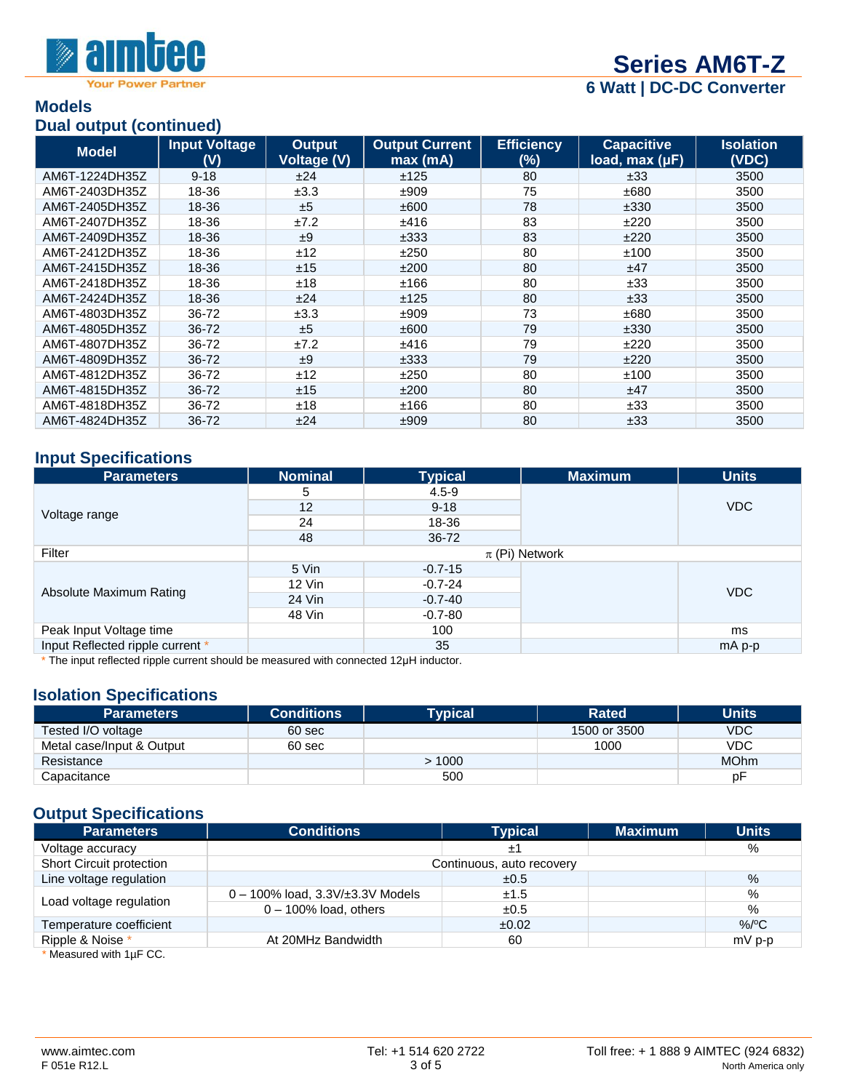

#### **Models Dual output (continued)**

|                | $P^{\text{out}}$ valpat (vol. in 1999) |                                     |                                  |                          |                                       |                           |
|----------------|----------------------------------------|-------------------------------------|----------------------------------|--------------------------|---------------------------------------|---------------------------|
| <b>Model</b>   | <b>Input Voltage</b><br>(V)            | <b>Output</b><br><b>Voltage (V)</b> | <b>Output Current</b><br>max(mA) | <b>Efficiency</b><br>(%) | <b>Capacitive</b><br>load, $max (µF)$ | <b>Isolation</b><br>(VDC) |
| AM6T-1224DH35Z | $9 - 18$                               | ±24                                 | ±125                             | 80                       | ±33                                   | 3500                      |
| AM6T-2403DH35Z | 18-36                                  | ±3.3                                | ±909                             | 75                       | ±680                                  | 3500                      |
| AM6T-2405DH35Z | 18-36                                  | ±5                                  | ±600                             | 78                       | ±330                                  | 3500                      |
| AM6T-2407DH35Z | 18-36                                  | ±7.2                                | ±416                             | 83                       | ±220                                  | 3500                      |
| AM6T-2409DH35Z | 18-36                                  | ±9                                  | ±333                             | 83                       | ±220                                  | 3500                      |
| AM6T-2412DH35Z | 18-36                                  | ±12                                 | ±250                             | 80                       | ±100                                  | 3500                      |
| AM6T-2415DH35Z | 18-36                                  | ±15                                 | ±200                             | 80                       | ±47                                   | 3500                      |
| AM6T-2418DH35Z | 18-36                                  | ±18                                 | ±166                             | 80                       | ±33                                   | 3500                      |
| AM6T-2424DH35Z | 18-36                                  | ±24                                 | ±125                             | 80                       | ±33                                   | 3500                      |
| AM6T-4803DH35Z | 36-72                                  | ±3.3                                | ±909                             | 73                       | ±680                                  | 3500                      |
| AM6T-4805DH35Z | 36-72                                  | ±5                                  | ±600                             | 79                       | ±330                                  | 3500                      |
| AM6T-4807DH35Z | 36-72                                  | ±7.2                                | ±416                             | 79                       | ±220                                  | 3500                      |
| AM6T-4809DH35Z | 36-72                                  | ±9                                  | ±333                             | 79                       | ±220                                  | 3500                      |
| AM6T-4812DH35Z | 36-72                                  | ±12                                 | ±250                             | 80                       | ±100                                  | 3500                      |
| AM6T-4815DH35Z | 36-72                                  | ±15                                 | ±200                             | 80                       | ±47                                   | 3500                      |
| AM6T-4818DH35Z | 36-72                                  | ±18                                 | ±166                             | 80                       | ±33                                   | 3500                      |
| AM6T-4824DH35Z | 36-72                                  | ±24                                 | ±909                             | 80                       | ±33                                   | 3500                      |

#### **Input Specifications**

| <b>Parameters</b>                | <b>Nominal</b>     | <b>Typical</b> | <b>Maximum</b> | <b>Units</b> |
|----------------------------------|--------------------|----------------|----------------|--------------|
|                                  | 5                  | $4.5 - 9$      |                |              |
|                                  | 12                 | $9 - 18$       |                | <b>VDC</b>   |
| Voltage range                    | 24                 | 18-36          |                |              |
|                                  | 48                 | 36-72          |                |              |
| Filter                           | $\pi$ (Pi) Network |                |                |              |
|                                  | 5 Vin              | $-0.7 - 15$    |                |              |
|                                  | 12 Vin             | $-0.7 - 24$    |                | <b>VDC</b>   |
| Absolute Maximum Rating          | 24 Vin             | $-0.7 - 40$    |                |              |
|                                  | 48 Vin             | $-0.7 - 80$    |                |              |
| Peak Input Voltage time          |                    | 100            |                | ms           |
| Input Reflected ripple current * |                    | 35             |                | mA p-p       |

\* The input reflected ripple current should be measured with connected 12µH inductor.

### **Isolation Specifications**

| <b>Parameters</b>         | <b>Conditions</b> | <b>Typical</b> | <b>Rated</b> | <b>Units</b> |
|---------------------------|-------------------|----------------|--------------|--------------|
| Tested I/O voltage        | 60 sec            |                | 1500 or 3500 | VDC          |
| Metal case/Input & Output | 60 sec            |                | 1000         | <b>VDC</b>   |
| Resistance                |                   | >1000          |              | <b>MOhm</b>  |
| Capacitance               |                   | 500            |              | рF           |

## **Output Specifications**

| <b>Parameters</b>                   | <b>Conditions</b>                        | <b>Typical</b> | <b>Maximum</b> | <b>Units</b> |  |
|-------------------------------------|------------------------------------------|----------------|----------------|--------------|--|
| Voltage accuracy                    |                                          | ±1             |                | %            |  |
| Short Circuit protection            | Continuous, auto recovery                |                |                |              |  |
| Line voltage regulation             |                                          | ±0.5           |                | $\%$         |  |
|                                     | $0 - 100\%$ load, $3.3V/\pm 3.3V$ Models | ±1.5           |                | %            |  |
| Load voltage regulation             | $0 - 100\%$ load, others                 | ±0.5           |                | %            |  |
| Temperature coefficient             |                                          | ±0.02          |                | $\%$ /°C     |  |
| Ripple & Noise *                    | At 20MHz Bandwidth                       | 60             |                | $mV$ p-p     |  |
| $*$ Measured with $A \cup B \cap C$ |                                          |                |                |              |  |

Measured with  $1\mu$ F CC.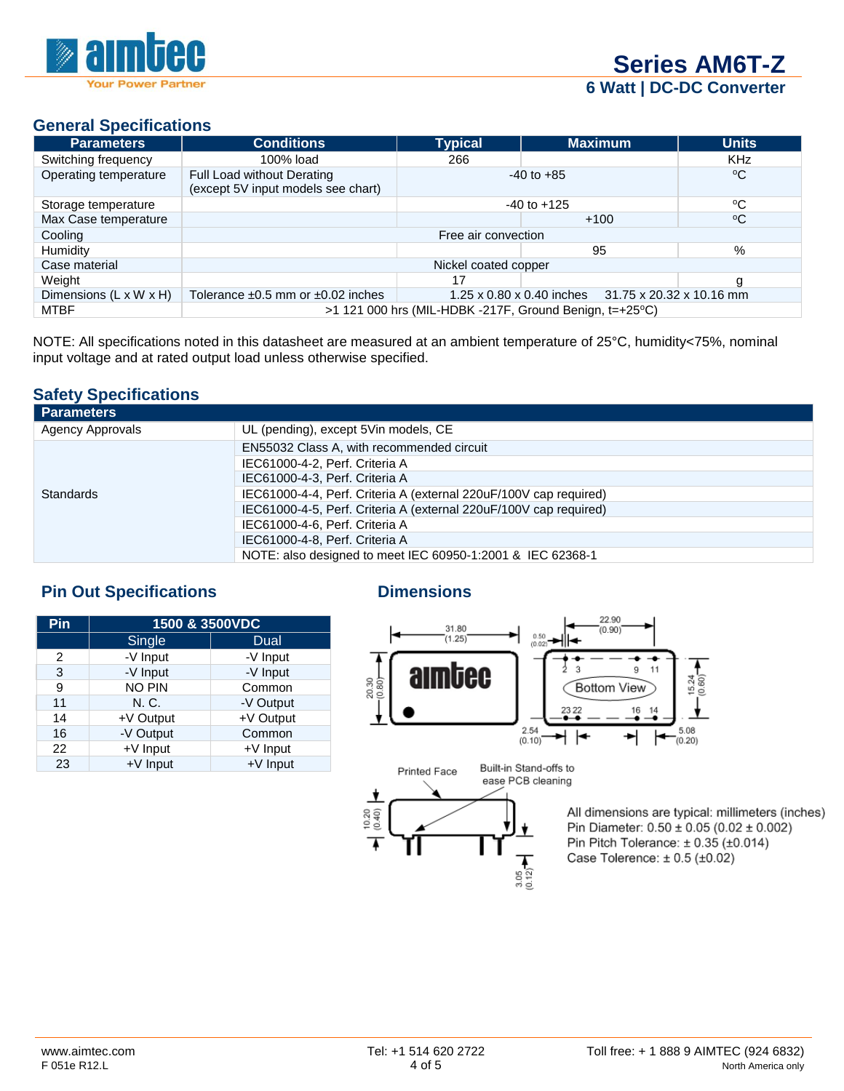

### **General Specifications**

| <b>Parameters</b>                  | <b>Conditions</b>                                                                                    | <b>Typical</b> | <b>Maximum</b>  | <b>Units</b> |  |
|------------------------------------|------------------------------------------------------------------------------------------------------|----------------|-----------------|--------------|--|
| Switching frequency                | 100% load                                                                                            | 266            |                 | <b>KHz</b>   |  |
| Operating temperature              | Full Load without Derating<br>(except 5V input models see chart)                                     |                | $-40$ to $+85$  | $^{\circ}$ C |  |
| Storage temperature                |                                                                                                      |                | $-40$ to $+125$ | °C           |  |
| Max Case temperature               |                                                                                                      |                | $+100$          | $^{\circ}C$  |  |
| Cooling                            | Free air convection                                                                                  |                |                 |              |  |
| Humidity                           |                                                                                                      |                | 95              | %            |  |
| Case material                      | Nickel coated copper                                                                                 |                |                 |              |  |
| Weight                             |                                                                                                      | 17             |                 | g            |  |
| Dimensions $(L \times W \times H)$ | Tolerance $\pm 0.5$ mm or $\pm 0.02$ inches<br>1.25 x 0.80 x 0.40 inches<br>31.75 x 20.32 x 10.16 mm |                |                 |              |  |
| <b>MTBF</b>                        | $>1$ 121 000 hrs (MIL-HDBK -217F, Ground Benign, t=+25 $\degree$ C)                                  |                |                 |              |  |

NOTE: All specifications noted in this datasheet are measured at an ambient temperature of 25°C, humidity<75%, nominal input voltage and at rated output load unless otherwise specified.

#### **Safety Specifications**

| <b>Parameters</b>       |                                                                   |
|-------------------------|-------------------------------------------------------------------|
| <b>Agency Approvals</b> | UL (pending), except 5Vin models, CE                              |
|                         | EN55032 Class A, with recommended circuit                         |
|                         | IEC61000-4-2, Perf. Criteria A                                    |
|                         | IEC61000-4-3, Perf. Criteria A                                    |
| Standards               | IEC61000-4-4, Perf. Criteria A (external 220uF/100V cap required) |
|                         | IEC61000-4-5, Perf. Criteria A (external 220uF/100V cap required) |
|                         | IEC61000-4-6, Perf. Criteria A                                    |
|                         | IEC61000-4-8, Perf. Criteria A                                    |
|                         | NOTE: also designed to meet IEC 60950-1:2001 & IEC 62368-1        |

## **Pin Out Specifications Dimensions**

| Pin | 1500 & 3500VDC |            |  |  |
|-----|----------------|------------|--|--|
|     | Single         | Dual       |  |  |
| 2   | -V Input       | -V Input   |  |  |
| 3   | -V Input       | -V Input   |  |  |
| 9   | <b>NO PIN</b>  | Common     |  |  |
| 11  | N. C.          | -V Output  |  |  |
| 14  | +V Output      | +V Output  |  |  |
| 16  | -V Output      | Common     |  |  |
| 22  | +V Input       | $+V$ Input |  |  |
| 23  | +V Input       | +V Input   |  |  |





All dimensions are typical: millimeters (inches) Pin Diameter:  $0.50 \pm 0.05$  (0.02  $\pm$  0.002) Pin Pitch Tolerance:  $\pm$  0.35 ( $\pm$ 0.014) Case Tolerence:  $\pm$  0.5 ( $\pm$ 0.02)